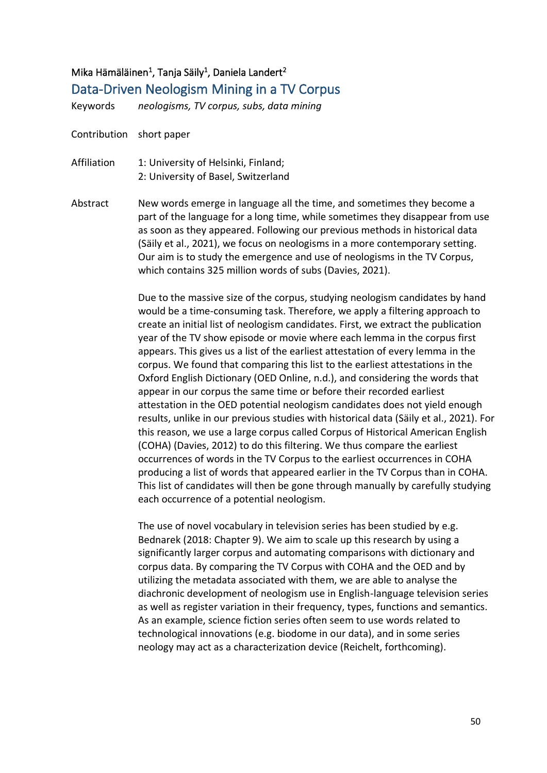## Mika Hämäläinen<sup>1</sup>, Tanja Säily<sup>1</sup>, Daniela Landert<sup>2</sup>

## Data-Driven Neologism Mining in a TV Corpus

Keywords *neologisms, TV corpus, subs, data mining*

Contribution short paper

- Affiliation 1: University of Helsinki, Finland; 2: University of Basel, Switzerland
- Abstract New words emerge in language all the time, and sometimes they become a part of the language for a long time, while sometimes they disappear from use as soon as they appeared. Following our previous methods in historical data (Säily et al., 2021), we focus on neologisms in a more contemporary setting. Our aim is to study the emergence and use of neologisms in the TV Corpus, which contains 325 million words of subs (Davies, 2021).

Due to the massive size of the corpus, studying neologism candidates by hand would be a time-consuming task. Therefore, we apply a filtering approach to create an initial list of neologism candidates. First, we extract the publication year of the TV show episode or movie where each lemma in the corpus first appears. This gives us a list of the earliest attestation of every lemma in the corpus. We found that comparing this list to the earliest attestations in the Oxford English Dictionary (OED Online, n.d.), and considering the words that appear in our corpus the same time or before their recorded earliest attestation in the OED potential neologism candidates does not yield enough results, unlike in our previous studies with historical data (Säily et al., 2021). For this reason, we use a large corpus called Corpus of Historical American English (COHA) (Davies, 2012) to do this filtering. We thus compare the earliest occurrences of words in the TV Corpus to the earliest occurrences in COHA producing a list of words that appeared earlier in the TV Corpus than in COHA. This list of candidates will then be gone through manually by carefully studying each occurrence of a potential neologism.

The use of novel vocabulary in television series has been studied by e.g. Bednarek (2018: Chapter 9). We aim to scale up this research by using a significantly larger corpus and automating comparisons with dictionary and corpus data. By comparing the TV Corpus with COHA and the OED and by utilizing the metadata associated with them, we are able to analyse the diachronic development of neologism use in English-language television series as well as register variation in their frequency, types, functions and semantics. As an example, science fiction series often seem to use words related to technological innovations (e.g. biodome in our data), and in some series neology may act as a characterization device (Reichelt, forthcoming).